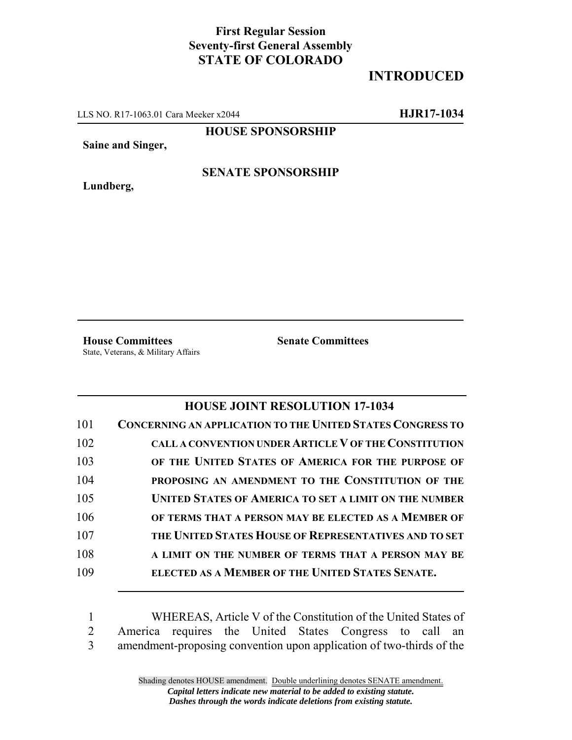## **First Regular Session Seventy-first General Assembly STATE OF COLORADO**

## **INTRODUCED**

LLS NO. R17-1063.01 Cara Meeker x2044 **HJR17-1034**

**HOUSE SPONSORSHIP**

**Saine and Singer,**

**Lundberg,**

## **SENATE SPONSORSHIP**

**House Committees Senate Committees** State, Veterans, & Military Affairs

## **HOUSE JOINT RESOLUTION 17-1034**

| 101 | <b>CONCERNING AN APPLICATION TO THE UNITED STATES CONGRESS TO</b> |
|-----|-------------------------------------------------------------------|
| 102 | CALL A CONVENTION UNDER ARTICLE V OF THE CONSTITUTION             |
| 103 | OF THE UNITED STATES OF AMERICA FOR THE PURPOSE OF                |
| 104 | PROPOSING AN AMENDMENT TO THE CONSTITUTION OF THE                 |
| 105 | <b>UNITED STATES OF AMERICA TO SET A LIMIT ON THE NUMBER</b>      |
| 106 | OF TERMS THAT A PERSON MAY BE ELECTED AS A MEMBER OF              |
| 107 | THE UNITED STATES HOUSE OF REPRESENTATIVES AND TO SET             |
| 108 | A LIMIT ON THE NUMBER OF TERMS THAT A PERSON MAY BE               |
| 109 | ELECTED AS A MEMBER OF THE UNITED STATES SENATE.                  |
|     |                                                                   |

1 WHEREAS, Article V of the Constitution of the United States of 2 America requires the United States Congress to call an 3 amendment-proposing convention upon application of two-thirds of the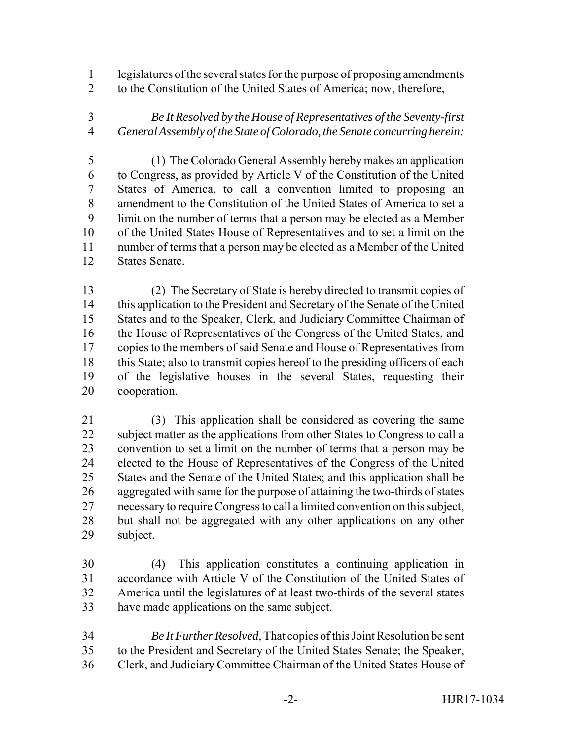legislatures of the several states for the purpose of proposing amendments to the Constitution of the United States of America; now, therefore,

 *Be It Resolved by the House of Representatives of the Seventy-first General Assembly of the State of Colorado, the Senate concurring herein:*

 (1) The Colorado General Assembly hereby makes an application to Congress, as provided by Article V of the Constitution of the United States of America, to call a convention limited to proposing an amendment to the Constitution of the United States of America to set a limit on the number of terms that a person may be elected as a Member of the United States House of Representatives and to set a limit on the number of terms that a person may be elected as a Member of the United States Senate.

 (2) The Secretary of State is hereby directed to transmit copies of this application to the President and Secretary of the Senate of the United States and to the Speaker, Clerk, and Judiciary Committee Chairman of the House of Representatives of the Congress of the United States, and copies to the members of said Senate and House of Representatives from this State; also to transmit copies hereof to the presiding officers of each of the legislative houses in the several States, requesting their cooperation.

 (3) This application shall be considered as covering the same subject matter as the applications from other States to Congress to call a convention to set a limit on the number of terms that a person may be elected to the House of Representatives of the Congress of the United States and the Senate of the United States; and this application shall be aggregated with same for the purpose of attaining the two-thirds of states necessary to require Congress to call a limited convention on this subject, but shall not be aggregated with any other applications on any other subject.

 (4) This application constitutes a continuing application in accordance with Article V of the Constitution of the United States of America until the legislatures of at least two-thirds of the several states have made applications on the same subject.

 *Be It Further Resolved,* That copies of this Joint Resolution be sent to the President and Secretary of the United States Senate; the Speaker, Clerk, and Judiciary Committee Chairman of the United States House of